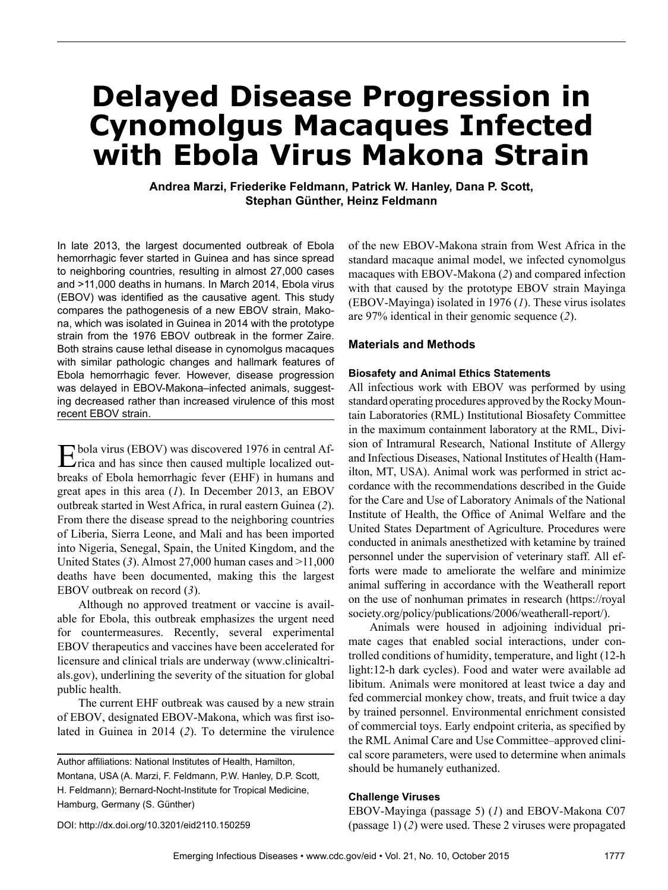# **Delayed Disease Progression in Cynomolgus Macaques Infected with Ebola Virus Makona Strain**

**Andrea Marzi, Friederike Feldmann, Patrick W. Hanley, Dana P. Scott, Stephan Günther, Heinz Feldmann**

In late 2013, the largest documented outbreak of Ebola hemorrhagic fever started in Guinea and has since spread to neighboring countries, resulting in almost 27,000 cases and >11,000 deaths in humans. In March 2014, Ebola virus (EBOV) was identified as the causative agent. This study compares the pathogenesis of a new EBOV strain, Makona, which was isolated in Guinea in 2014 with the prototype strain from the 1976 EBOV outbreak in the former Zaire. Both strains cause lethal disease in cynomolgus macaques with similar pathologic changes and hallmark features of Ebola hemorrhagic fever. However, disease progression was delayed in EBOV-Makona–infected animals, suggesting decreased rather than increased virulence of this most recent EBOV strain.

Ebola virus (EBOV) was discovered 1976 in central Af-rica and has since then caused multiple localized outbreaks of Ebola hemorrhagic fever (EHF) in humans and great apes in this area (*1*). In December 2013, an EBOV outbreak started in West Africa, in rural eastern Guinea (*2*). From there the disease spread to the neighboring countries of Liberia, Sierra Leone, and Mali and has been imported into Nigeria, Senegal, Spain, the United Kingdom, and the United States (*3*). Almost 27,000 human cases and >11,000 deaths have been documented, making this the largest EBOV outbreak on record (*3*).

Although no approved treatment or vaccine is available for Ebola, this outbreak emphasizes the urgent need for countermeasures. Recently, several experimental EBOV therapeutics and vaccines have been accelerated for licensure and clinical trials are underway (www.clinicaltrials.gov), underlining the severity of the situation for global public health.

The current EHF outbreak was caused by a new strain of EBOV, designated EBOV-Makona, which was first isolated in Guinea in 2014 (*2*). To determine the virulence

of the new EBOV-Makona strain from West Africa in the standard macaque animal model, we infected cynomolgus macaques with EBOV-Makona (*2*) and compared infection with that caused by the prototype EBOV strain Mayinga (EBOV-Mayinga) isolated in 1976 (*1*). These virus isolates are 97% identical in their genomic sequence (*2*).

# **Materials and Methods**

## **Biosafety and Animal Ethics Statements**

All infectious work with EBOV was performed by using standard operating procedures approved by the Rocky Mountain Laboratories (RML) Institutional Biosafety Committee in the maximum containment laboratory at the RML, Division of Intramural Research, National Institute of Allergy and Infectious Diseases, National Institutes of Health (Hamilton, MT, USA). Animal work was performed in strict accordance with the recommendations described in the Guide for the Care and Use of Laboratory Animals of the National Institute of Health, the Office of Animal Welfare and the United States Department of Agriculture. Procedures were conducted in animals anesthetized with ketamine by trained personnel under the supervision of veterinary staff. All efforts were made to ameliorate the welfare and minimize animal suffering in accordance with the Weatherall report on the use of nonhuman primates in research (https://royal society.org/policy/publications/2006/weatherall-report/).

Animals were housed in adjoining individual primate cages that enabled social interactions, under controlled conditions of humidity, temperature, and light (12-h light:12-h dark cycles). Food and water were available ad libitum. Animals were monitored at least twice a day and fed commercial monkey chow, treats, and fruit twice a day by trained personnel. Environmental enrichment consisted of commercial toys. Early endpoint criteria, as specified by the RML Animal Care and Use Committee–approved clinical score parameters, were used to determine when animals should be humanely euthanized.

# **Challenge Viruses**

EBOV-Mayinga (passage 5) (*1*) and EBOV-Makona C07 (passage 1) (*2*) were used. These 2 viruses were propagated

DOI: http://dx.doi.org/10.3201/eid2110.150259

Author affiliations: National Institutes of Health, Hamilton, Montana, USA (A. Marzi, F. Feldmann, P.W. Hanley, D.P. Scott, H. Feldmann); Bernard-Nocht-Institute for Tropical Medicine, Hamburg, Germany (S. Günther)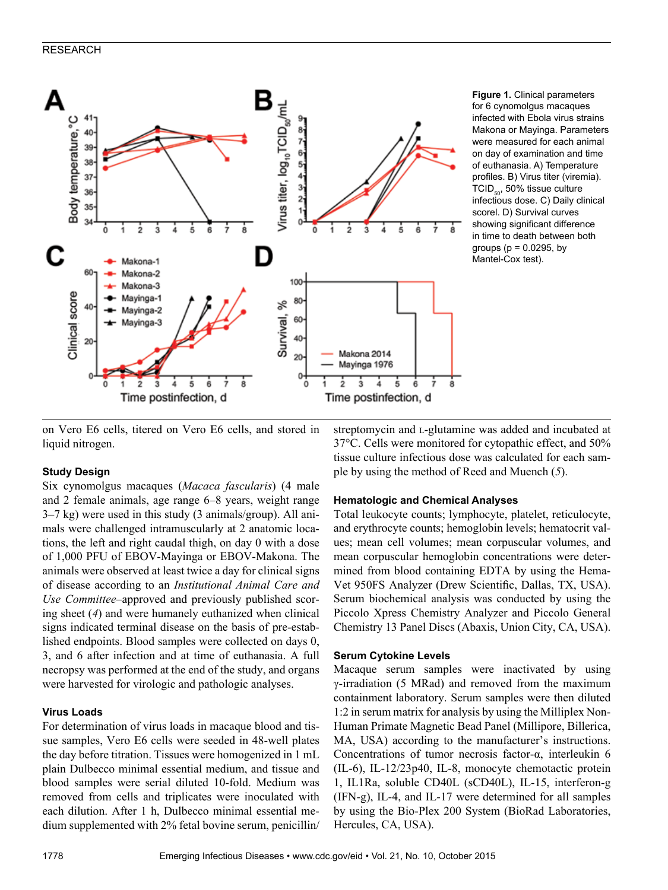# RESEARCH



**Figure 1.** Clinical parameters for 6 cynomolgus macaques infected with Ebola virus strains Makona or Mayinga. Parameters were measured for each animal on day of examination and time of euthanasia. A) Temperature profiles. B) Virus titer (viremia).  $TCID_{50}$ , 50% tissue culture infectious dose. C) Daily clinical scorel. D) Survival curves showing significant difference in time to death between both groups ( $p = 0.0295$ , by Mantel-Cox test).

on Vero E6 cells, titered on Vero E6 cells, and stored in liquid nitrogen.

# **Study Design**

Six cynomolgus macaques (*Macaca fascularis*) (4 male and 2 female animals, age range 6–8 years, weight range 3–7 kg) were used in this study (3 animals/group). All animals were challenged intramuscularly at 2 anatomic locations, the left and right caudal thigh, on day 0 with a dose of 1,000 PFU of EBOV-Mayinga or EBOV-Makona. The animals were observed at least twice a day for clinical signs of disease according to an *Institutional Animal Care and Use Committee–*approved and previously published scoring sheet (*4*) and were humanely euthanized when clinical signs indicated terminal disease on the basis of pre-established endpoints. Blood samples were collected on days 0, 3, and 6 after infection and at time of euthanasia. A full necropsy was performed at the end of the study, and organs were harvested for virologic and pathologic analyses.

# **Virus Loads**

For determination of virus loads in macaque blood and tissue samples, Vero E6 cells were seeded in 48-well plates the day before titration. Tissues were homogenized in 1 mL plain Dulbecco minimal essential medium, and tissue and blood samples were serial diluted 10-fold. Medium was removed from cells and triplicates were inoculated with each dilution. After 1 h, Dulbecco minimal essential medium supplemented with 2% fetal bovine serum, penicillin/

streptomycin and L-glutamine was added and incubated at 37°C. Cells were monitored for cytopathic effect, and 50% tissue culture infectious dose was calculated for each sample by using the method of Reed and Muench (*5*).

## **Hematologic and Chemical Analyses**

Total leukocyte counts; lymphocyte, platelet, reticulocyte, and erythrocyte counts; hemoglobin levels; hematocrit values; mean cell volumes; mean corpuscular volumes, and mean corpuscular hemoglobin concentrations were determined from blood containing EDTA by using the Hema-Vet 950FS Analyzer (Drew Scientific, Dallas, TX, USA). Serum biochemical analysis was conducted by using the Piccolo Xpress Chemistry Analyzer and Piccolo General Chemistry 13 Panel Discs (Abaxis, Union City, CA, USA).

## **Serum Cytokine Levels**

Macaque serum samples were inactivated by using γ-irradiation (5 MRad) and removed from the maximum containment laboratory. Serum samples were then diluted 1:2 in serum matrix for analysis by using the Milliplex Non-Human Primate Magnetic Bead Panel (Millipore, Billerica, MA, USA) according to the manufacturer's instructions. Concentrations of tumor necrosis factor-α, interleukin 6 (IL-6), IL-12/23p40, IL-8, monocyte chemotactic protein 1, IL1Ra, soluble CD40L (sCD40L), IL-15, interferon-g (IFN-g), IL-4, and IL-17 were determined for all samples by using the Bio-Plex 200 System (BioRad Laboratories, Hercules, CA, USA).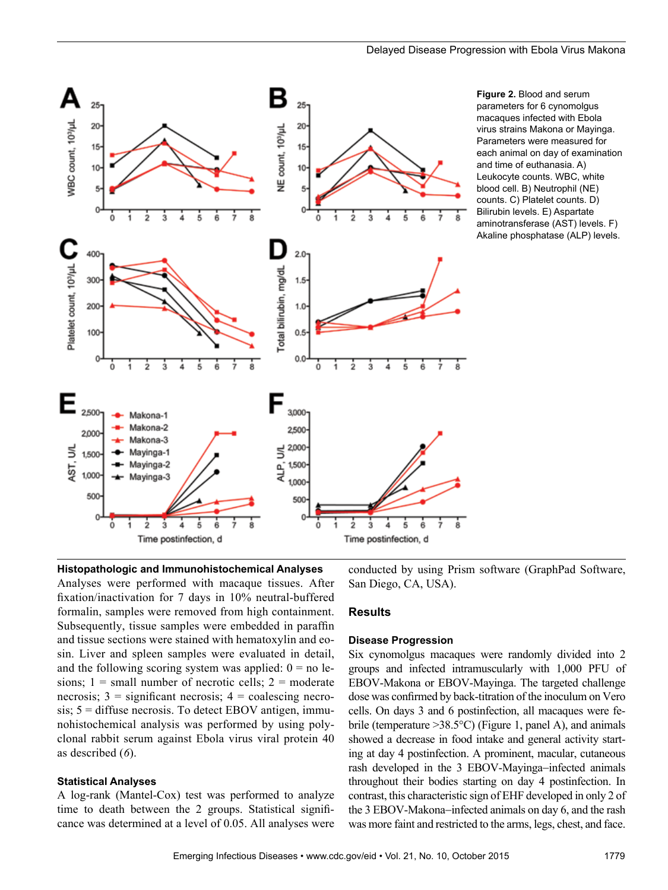

**Figure 2.** Blood and serum parameters for 6 cynomolgus macaques infected with Ebola virus strains Makona or Mayinga. Parameters were measured for each animal on day of examination and time of euthanasia. A) Leukocyte counts. WBC, white blood cell. B) Neutrophil (NE) counts. C) Platelet counts. D) Bilirubin levels. E) Aspartate aminotransferase (AST) levels. F) Akaline phosphatase (ALP) levels.

**Histopathologic and Immunohistochemical Analyses** Analyses were performed with macaque tissues. After fixation/inactivation for 7 days in 10% neutral-buffered formalin, samples were removed from high containment. Subsequently, tissue samples were embedded in paraffin and tissue sections were stained with hematoxylin and eosin. Liver and spleen samples were evaluated in detail, and the following scoring system was applied:  $0 =$  no lesions;  $1 =$  small number of necrotic cells;  $2 =$  moderate necrosis;  $3 =$  significant necrosis;  $4 =$  coalescing necro $sis$ ;  $5 = diffuse necrosis$ . To detect EBOV antigen, immunohistochemical analysis was performed by using polyclonal rabbit serum against Ebola virus viral protein 40 as described (*6*).

## **Statistical Analyses**

A log-rank (Mantel-Cox) test was performed to analyze time to death between the 2 groups. Statistical significance was determined at a level of 0.05. All analyses were

conducted by using Prism software (GraphPad Software, San Diego, CA, USA).

## **Results**

#### **Disease Progression**

Six cynomolgus macaques were randomly divided into 2 groups and infected intramuscularly with 1,000 PFU of EBOV-Makona or EBOV-Mayinga. The targeted challenge dose was confirmed by back-titration of the inoculum on Vero cells. On days 3 and 6 postinfection, all macaques were febrile (temperature >38.5°C) (Figure 1, panel A), and animals showed a decrease in food intake and general activity starting at day 4 postinfection. A prominent, macular, cutaneous rash developed in the 3 EBOV-Mayinga−infected animals throughout their bodies starting on day 4 postinfection. In contrast, this characteristic sign of EHF developed in only 2 of the 3 EBOV-Makona−infected animals on day 6, and the rash was more faint and restricted to the arms, legs, chest, and face.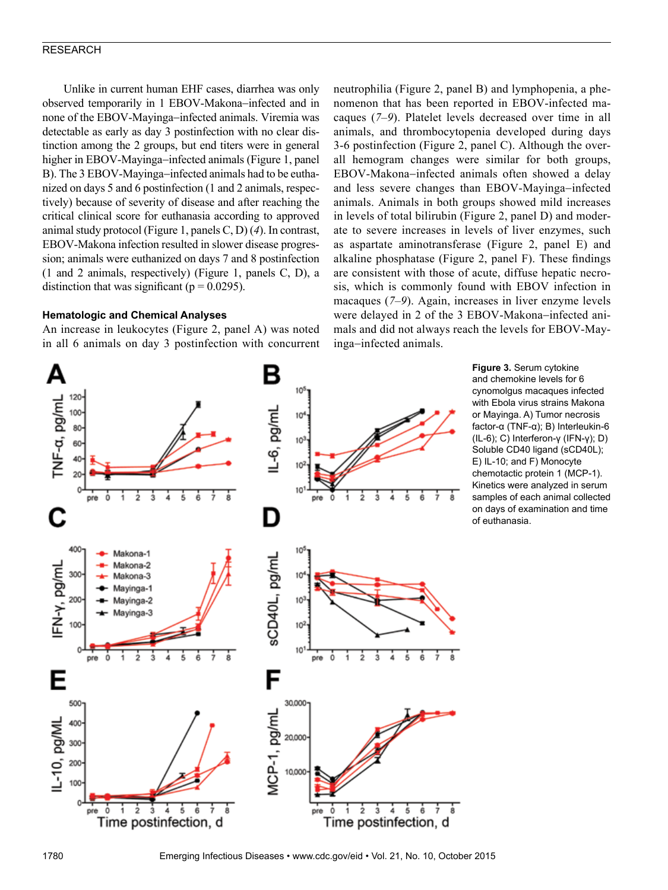## RESEARCH

Unlike in current human EHF cases, diarrhea was only observed temporarily in 1 EBOV-Makona−infected and in none of the EBOV-Mayinga−infected animals. Viremia was detectable as early as day 3 postinfection with no clear distinction among the 2 groups, but end titers were in general higher in EBOV-Mayinga−infected animals (Figure 1, panel B). The 3 EBOV-Mayinga−infected animals had to be euthanized on days 5 and 6 postinfection (1 and 2 animals, respectively) because of severity of disease and after reaching the critical clinical score for euthanasia according to approved animal study protocol (Figure 1, panels C, D) (*4*). In contrast, EBOV-Makona infection resulted in slower disease progression; animals were euthanized on days 7 and 8 postinfection (1 and 2 animals, respectively) (Figure 1, panels C, D), a distinction that was significant ( $p = 0.0295$ ).

## **Hematologic and Chemical Analyses**

An increase in leukocytes (Figure 2, panel A) was noted in all 6 animals on day 3 postinfection with concurrent neutrophilia (Figure 2, panel B) and lymphopenia, a phenomenon that has been reported in EBOV-infected macaques (*7*–*9*). Platelet levels decreased over time in all animals, and thrombocytopenia developed during days 3-6 postinfection (Figure 2, panel C). Although the overall hemogram changes were similar for both groups, EBOV-Makona−infected animals often showed a delay and less severe changes than EBOV-Mayinga−infected animals. Animals in both groups showed mild increases in levels of total bilirubin (Figure 2, panel D) and moderate to severe increases in levels of liver enzymes, such as aspartate aminotransferase (Figure 2, panel E) and alkaline phosphatase (Figure 2, panel F). These findings are consistent with those of acute, diffuse hepatic necrosis, which is commonly found with EBOV infection in macaques (*7*–*9*). Again, increases in liver enzyme levels were delayed in 2 of the 3 EBOV-Makona−infected animals and did not always reach the levels for EBOV-Mayinga−infected animals.



**Figure 3.** Serum cytokine and chemokine levels for 6 cynomolgus macaques infected with Ebola virus strains Makona or Mayinga. A) Tumor necrosis factor-α (TNF-α); B) Interleukin-6 (IL-6); C) Interferon-γ (IFN-γ); D) Soluble CD40 ligand (sCD40L); E) IL-10; and F) Monocyte chemotactic protein 1 (MCP-1). Kinetics were analyzed in serum samples of each animal collected on days of examination and time of euthanasia.

1780 Emerging Infectious Diseases • www.cdc.gov/eid • Vol. 21, No. 10, October 2015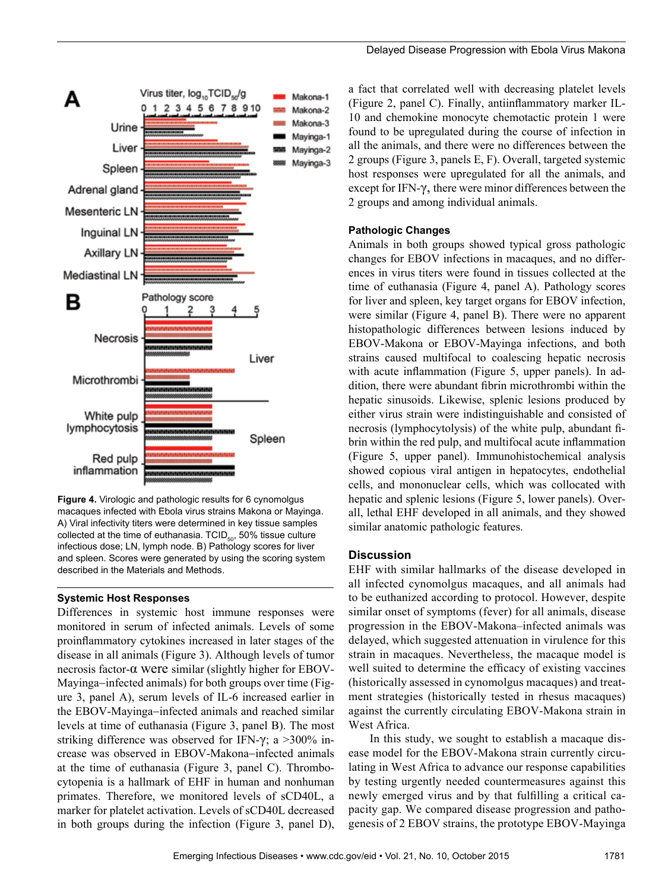

**Figure 4.** Virologic and pathologic results for 6 cynomolgus macaques infected with Ebola virus strains Makona or Mayinga. A) Viral infectivity titers were determined in key tissue samples collected at the time of euthanasia. TCID $_{50}$ , 50% tissue culture infectious dose; LN, lymph node. B) Pathology scores for liver and spleen. Scores were generated by using the scoring system described in the Materials and Methods.

# **Systemic Host Responses**

Differences in systemic host immune responses were monitored in serum of infected animals. Levels of some proinflammatory cytokines increased in later stages of the disease in all animals (Figure 3). Although levels of tumor necrosis factor-α were similar (slightly higher for EBOV-Mayinga−infected animals) for both groups over time (Figure 3, panel A), serum levels of IL-6 increased earlier in the EBOV-Mayinga−infected animals and reached similar levels at time of euthanasia (Figure 3, panel B). The most striking difference was observed for IFN- $\gamma$ ; a >300% increase was observed in EBOV-Makona−infected animals at the time of euthanasia (Figure 3, panel C). Thrombocytopenia is a hallmark of EHF in human and nonhuman primates. Therefore, we monitored levels of sCD40L, a marker for platelet activation. Levels of sCD40L decreased in both groups during the infection (Figure 3, panel D),

a fact that correlated well with decreasing platelet levels (Figure 2, panel C). Finally, antiinflammatory marker IL-10 and chemokine monocyte chemotactic protein 1 were found to be upregulated during the course of infection in all the animals, and there were no differences between the 2 groups (Figure 3, panels E, F). Overall, targeted systemic host responses were upregulated for all the animals, and except for IFN-γ, there were minor differences between the 2 groups and among individual animals.

#### **Pathologic Changes**

Animals in both groups showed typical gross pathologic changes for EBOV infections in macaques, and no differences in virus titers were found in tissues collected at the time of euthanasia (Figure 4, panel A). Pathology scores for liver and spleen, key target organs for EBOV infection, were similar (Figure 4, panel B). There were no apparent histopathologic differences between lesions induced by EBOV-Makona or EBOV-Mayinga infections, and both strains caused multifocal to coalescing hepatic necrosis with acute inflammation (Figure 5, upper panels). In addition, there were abundant fibrin microthrombi within the hepatic sinusoids. Likewise, splenic lesions produced by either virus strain were indistinguishable and consisted of necrosis (lymphocytolysis) of the white pulp, abundant fibrin within the red pulp, and multifocal acute inflammation (Figure 5, upper panel). Immunohistochemical analysis showed copious viral antigen in hepatocytes, endothelial cells, and mononuclear cells, which was collocated with hepatic and splenic lesions (Figure 5, lower panels). Overall, lethal EHF developed in all animals, and they showed similar anatomic pathologic features.

## **Discussion**

EHF with similar hallmarks of the disease developed in all infected cynomolgus macaques, and all animals had to be euthanized according to protocol. However, despite similar onset of symptoms (fever) for all animals, disease progression in the EBOV-Makona–infected animals was delayed, which suggested attenuation in virulence for this strain in macaques. Nevertheless, the macaque model is well suited to determine the efficacy of existing vaccines (historically assessed in cynomolgus macaques) and treatment strategies (historically tested in rhesus macaques) against the currently circulating EBOV-Makona strain in West Africa.

In this study, we sought to establish a macaque disease model for the EBOV-Makona strain currently circulating in West Africa to advance our response capabilities by testing urgently needed countermeasures against this newly emerged virus and by that fulfilling a critical capacity gap. We compared disease progression and pathogenesis of 2 EBOV strains, the prototype EBOV-Mayinga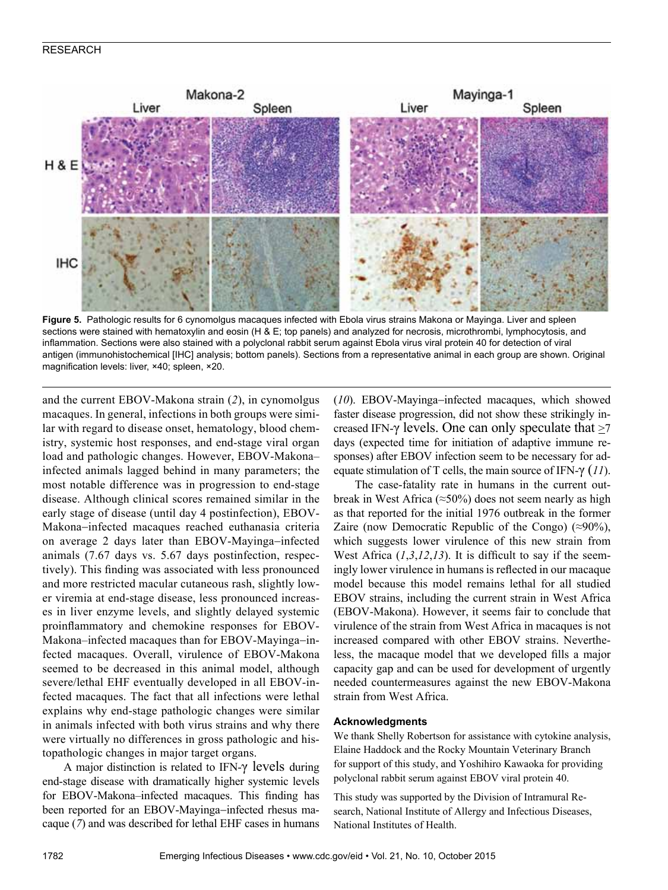# RESEARCH



**Figure 5.** Pathologic results for 6 cynomolgus macaques infected with Ebola virus strains Makona or Mayinga. Liver and spleen sections were stained with hematoxylin and eosin (H & E; top panels) and analyzed for necrosis, microthrombi, lymphocytosis, and inflammation. Sections were also stained with a polyclonal rabbit serum against Ebola virus viral protein 40 for detection of viral antigen (immunohistochemical [IHC] analysis; bottom panels). Sections from a representative animal in each group are shown. Original magnification levels: liver, ×40; spleen, ×20.

and the current EBOV-Makona strain (*2*), in cynomolgus macaques. In general, infections in both groups were similar with regard to disease onset, hematology, blood chemistry, systemic host responses, and end-stage viral organ load and pathologic changes. However, EBOV-Makona– infected animals lagged behind in many parameters; the most notable difference was in progression to end-stage disease. Although clinical scores remained similar in the early stage of disease (until day 4 postinfection), EBOV-Makona−infected macaques reached euthanasia criteria on average 2 days later than EBOV-Mayinga−infected animals (7.67 days vs. 5.67 days postinfection, respectively). This finding was associated with less pronounced and more restricted macular cutaneous rash, slightly lower viremia at end-stage disease, less pronounced increases in liver enzyme levels, and slightly delayed systemic proinflammatory and chemokine responses for EBOV-Makona–infected macaques than for EBOV-Mayinga−infected macaques. Overall, virulence of EBOV-Makona seemed to be decreased in this animal model, although severe/lethal EHF eventually developed in all EBOV-infected macaques. The fact that all infections were lethal explains why end-stage pathologic changes were similar in animals infected with both virus strains and why there were virtually no differences in gross pathologic and histopathologic changes in major target organs.

A major distinction is related to IFN- $\gamma$  levels during end-stage disease with dramatically higher systemic levels for EBOV-Makona–infected macaques. This finding has been reported for an EBOV-Mayinga−infected rhesus macaque (*7*) and was described for lethal EHF cases in humans (*10*). EBOV-Mayinga−infected macaques, which showed faster disease progression, did not show these strikingly increased IFN- $\gamma$  levels. One can only speculate that  $\geq 7$ days (expected time for initiation of adaptive immune responses) after EBOV infection seem to be necessary for adequate stimulation of T cells, the main source of IFN-γ (*11*).

The case-fatality rate in humans in the current outbreak in West Africa ( $\approx$ 50%) does not seem nearly as high as that reported for the initial 1976 outbreak in the former Zaire (now Democratic Republic of the Congo)  $(\approx 90\%)$ , which suggests lower virulence of this new strain from West Africa (*1*,*3*,*12*,*13*). It is difficult to say if the seemingly lower virulence in humans is reflected in our macaque model because this model remains lethal for all studied EBOV strains, including the current strain in West Africa (EBOV-Makona). However, it seems fair to conclude that virulence of the strain from West Africa in macaques is not increased compared with other EBOV strains. Nevertheless, the macaque model that we developed fills a major capacity gap and can be used for development of urgently needed countermeasures against the new EBOV-Makona strain from West Africa.

## **Acknowledgments**

We thank Shelly Robertson for assistance with cytokine analysis, Elaine Haddock and the Rocky Mountain Veterinary Branch for support of this study, and Yoshihiro Kawaoka for providing polyclonal rabbit serum against EBOV viral protein 40.

This study was supported by the Division of Intramural Research, National Institute of Allergy and Infectious Diseases, National Institutes of Health.